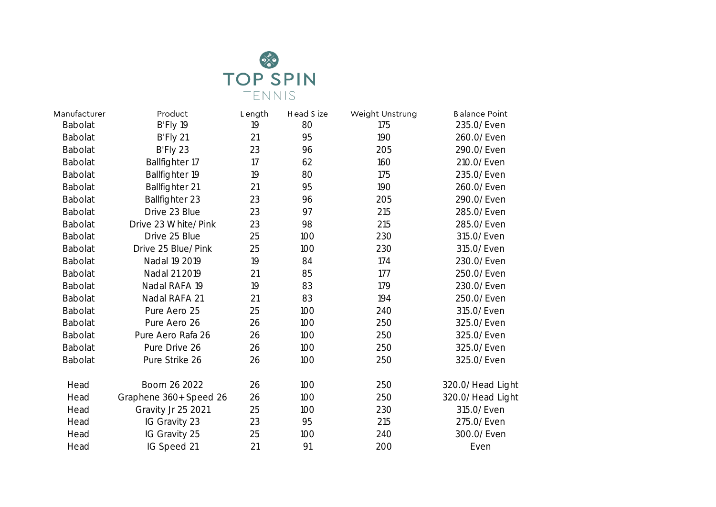

| Manufacturer   | Product                | Length | Head S ize | Weight Unstrung | <b>Balance Point</b> |
|----------------|------------------------|--------|------------|-----------------|----------------------|
| Babolat        | B'Fly 19               | 19     | 80         | 175             | 235.0/Even           |
| Babolat        | B'Fly 21               | 21     | 95         | 190             | 260.0/Even           |
| <b>Babolat</b> | B'Fly 23               | 23     | 96         | 205             | 290.0/Even           |
| <b>Babolat</b> | Ballfighter 17         | 17     | 62         | 160             | 210.0/Even           |
| Babolat        | Ballfighter 19         | 19     | 80         | 175             | 235.0/Even           |
| <b>Babolat</b> | Ballfighter 21         | 21     | 95         | 190             | 260.0/Even           |
| <b>Babolat</b> | Ballfighter 23         | 23     | 96         | 205             | 290.0/Even           |
| <b>Babolat</b> | Drive 23 Blue          | 23     | 97         | 215             | 285.0/Even           |
| <b>Babolat</b> | Drive 23 White/Pink    | 23     | 98         | 215             | 285.0/Even           |
| Babolat        | Drive 25 Blue          | 25     | 100        | 230             | 315.0/Even           |
| <b>Babolat</b> | Drive 25 Blue/Pink     | 25     | 100        | 230             | 315.0/Even           |
| <b>Babolat</b> | Nadal 19 2019          | 19     | 84         | 174             | 230.0/Even           |
| <b>Babolat</b> | Nadal 21 2019          | 21     | 85         | 177             | 250.0/Even           |
| <b>Babolat</b> | Nadal RAFA 19          | 19     | 83         | 179             | 230.0/Even           |
| Babolat        | Nadal RAFA 21          | 21     | 83         | 194             | 250.0/Even           |
| <b>Babolat</b> | Pure Aero 25           | 25     | 100        | 240             | 315.0/Even           |
| <b>Babolat</b> | Pure Aero 26           | 26     | 100        | 250             | 325.0/Even           |
| <b>Babolat</b> | Pure Aero Rafa 26      | 26     | 100        | 250             | 325.0/Even           |
| Babolat        | Pure Drive 26          | 26     | 100        | 250             | 325.0/Even           |
| <b>Babolat</b> | Pure Strike 26         | 26     | 100        | 250             | 325.0/Even           |
| Head           | Boom 26 2022           | 26     | 100        | 250             | 320.0/Head Light     |
| Head           | Graphene 360+ Speed 26 | 26     | 100        | 250             | 320.0/Head Light     |
| Head           | Gravity Jr 25 2021     | 25     | 100        | 230             | 315.0/Even           |
| Head           | IG Gravity 23          | 23     | 95         | 215             | 275.0/Even           |
| Head           | IG Gravity 25          | 25     | 100        | 240             | 300.0/Even           |
| Head           | IG Speed 21            | 21     | 91         | 200             | Even                 |